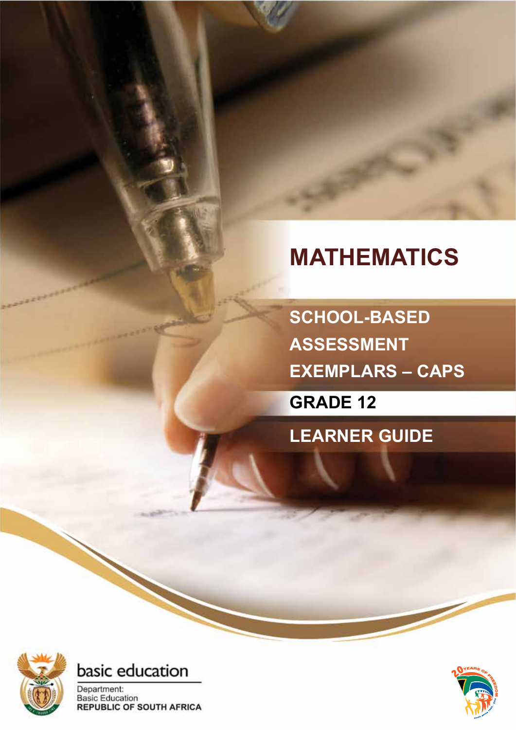## **MATHEMATICS**

**SCHOOL-BASED ASSESSMENT EXEMPLARS – CAPS**

**GRADE 12**

**LEARNER GUIDE**





Department: **Basic Education REPUBLIC OF SOUTH AFRICA** 

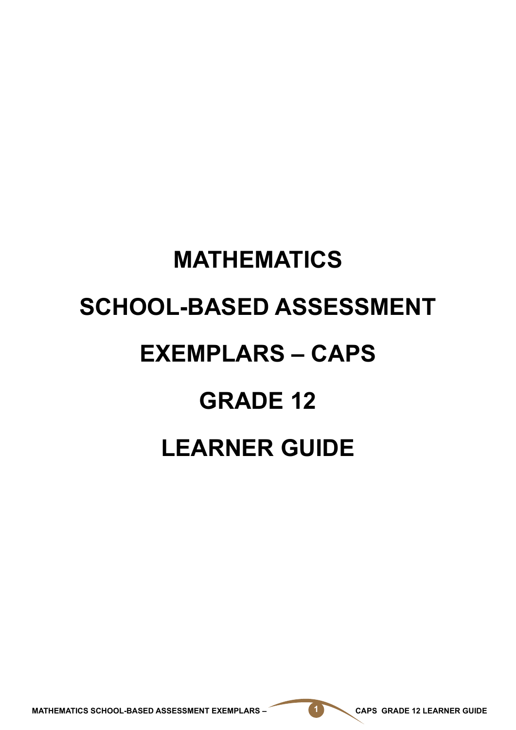# **MATHEMATICS SCHOOL-BASED ASSESSMENT EXEMPLARS – CAPS GRADE 12 LEARNER GUIDE**

MATHEMATICS SCHOOL-BASED ASSESSMENT EXEMPLARS – **1 CAPS GRADE 12 LEARNER GUIDE**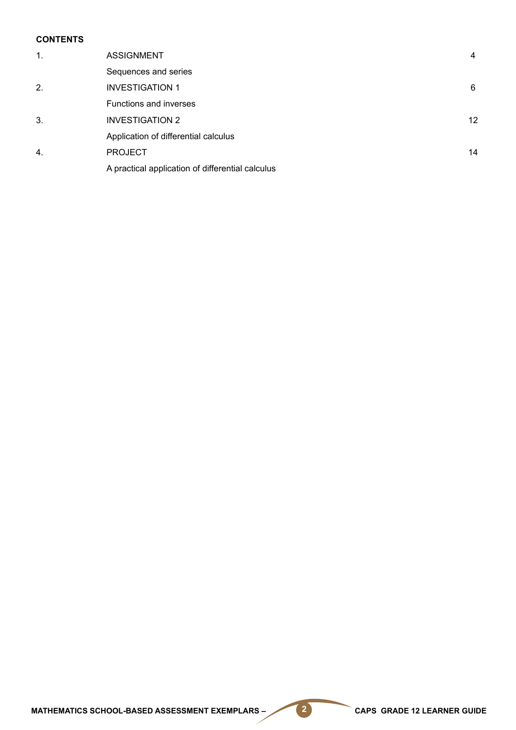#### **Contents**

| $\mathbf{1}$ . | <b>ASSIGNMENT</b>                                | 4  |
|----------------|--------------------------------------------------|----|
|                | Sequences and series                             |    |
| 2.             | <b>INVESTIGATION 1</b>                           | 6  |
|                | Functions and inverses                           |    |
| 3.             | <b>INVESTIGATION 2</b>                           | 12 |
|                | Application of differential calculus             |    |
| $\mathbf{4}$   | <b>PROJECT</b>                                   | 14 |
|                | A practical application of differential calculus |    |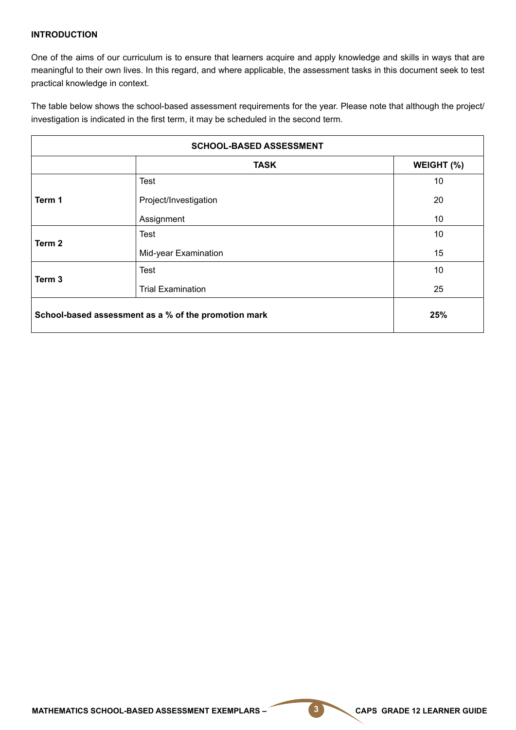#### **INTRODUCTION**

One of the aims of our curriculum is to ensure that learners acquire and apply knowledge and skills in ways that are meaningful to their own lives. In this regard, and where applicable, the assessment tasks in this document seek to test practical knowledge in context.

The table below shows the school-based assessment requirements for the year. Please note that although the project/ investigation is indicated in the first term, it may be scheduled in the second term.

| <b>SCHOOL-BASED ASSESSMENT</b>                              |                          |                 |  |  |  |
|-------------------------------------------------------------|--------------------------|-----------------|--|--|--|
|                                                             | <b>TASK</b>              | WEIGHT (%)      |  |  |  |
|                                                             | <b>Test</b>              | 10              |  |  |  |
| Term 1                                                      | Project/Investigation    | 20              |  |  |  |
|                                                             | Assignment               | 10 <sup>1</sup> |  |  |  |
|                                                             | <b>Test</b>              | 10              |  |  |  |
| Term 2                                                      | Mid-year Examination     | 15              |  |  |  |
|                                                             | <b>Test</b>              | 10              |  |  |  |
| Term 3                                                      | <b>Trial Examination</b> | 25              |  |  |  |
| School-based assessment as a % of the promotion mark<br>25% |                          |                 |  |  |  |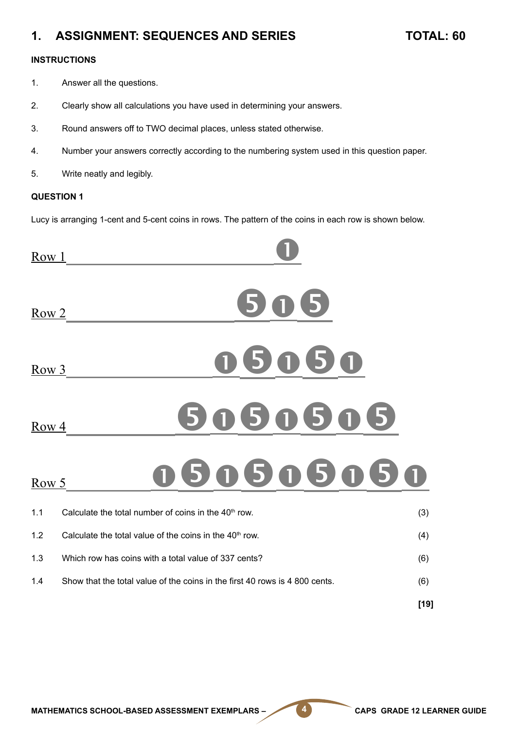### **1. ASSIGNMENT: SEQUENCES AND SERIES TOTAL: 60**

#### **INSTRUCTIONS**

- 1. Answer all the questions.
- 2. Clearly show all calculations you have used in determining your answers.
- 3. Round answers off to TWO decimal places, unless stated otherwise.
- 4. Number your answers correctly according to the numbering system used in this question paper.
- 5. Write neatly and legibly.

#### **QUESTION 1**

Lucy is arranging 1-cent and 5-cent coins in rows. The pattern of the coins in each row is shown below.

| Row 1 |                                                                             |        |
|-------|-----------------------------------------------------------------------------|--------|
| Row 2 |                                                                             |        |
| Row 3 | 5                                                                           |        |
| Row 4 | 50<br>5<br>5                                                                |        |
| Row 5 | 0505<br>5<br>5                                                              |        |
| 1.1   | Calculate the total number of coins in the 40 <sup>th</sup> row.            | (3)    |
| 1.2   | Calculate the total value of the coins in the 40 <sup>th</sup> row.         | (4)    |
| 1.3   | Which row has coins with a total value of 337 cents?                        | (6)    |
| 1.4   | Show that the total value of the coins in the first 40 rows is 4 800 cents. | (6)    |
|       |                                                                             | $[19]$ |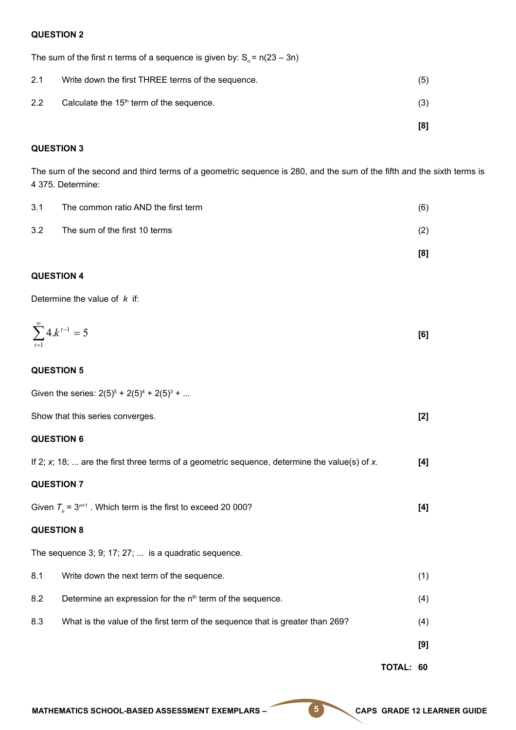#### **QUESTION 2**

The sum of the first n terms of a sequence is given by:  $S_n = n(23 - 3n)$ 

|     |                                                      | [8] |
|-----|------------------------------------------------------|-----|
| 2.2 | Calculate the 15 <sup>th</sup> term of the sequence. | (3) |
| 2.1 | Write down the first THREE terms of the sequence.    | (5) |

#### **QUESTION 3**

The sum of the second and third terms of a geometric sequence is 280, and the sum of the fifth and the sixth terms is 4 375. Determine:

| 3.1 | The common ratio AND the first term | (6) |
|-----|-------------------------------------|-----|
| 3.2 | The sum of the first 10 terms       | (2) |

### **[8]**

#### **QUESTION 4**

Determine the value of *k* if:

$$
\sum_{t=1}^{\infty} 4 \cdot k^{t-1} = 5
$$
 [6]

#### **QUESTION 5**

|                   | Given the series: $2(5)^5 + 2(5)^4 + 2(5)^3 + $                                                  |     |
|-------------------|--------------------------------------------------------------------------------------------------|-----|
|                   | Show that this series converges.                                                                 | [2] |
| <b>QUESTION 6</b> |                                                                                                  |     |
|                   | If 2; $x$ ; 18;  are the first three terms of a geometric sequence, determine the value(s) of x. | [4] |
| <b>QUESTION 7</b> |                                                                                                  |     |
|                   | Given $T_n = 3^{n+1}$ . Which term is the first to exceed 20 000?                                | [4] |
| <b>QUESTION 8</b> |                                                                                                  |     |
|                   | The sequence 3; 9; 17; 27;  is a quadratic sequence.                                             |     |
| 8.1               | Write down the next term of the sequence.                                                        | (1) |
| 8.2               | Determine an expression for the n <sup>th</sup> term of the sequence.                            | (4) |
| 8.3               | What is the value of the first term of the sequence that is greater than 269?                    | (4) |
|                   |                                                                                                  | [9] |
|                   |                                                                                                  |     |

**TOTAL: 60**

MATHEMATICS SCHOOL-BASED ASSESSMENT EXEMPLARS – **6 CAPS GRADE 12 LEARNER GUIDE**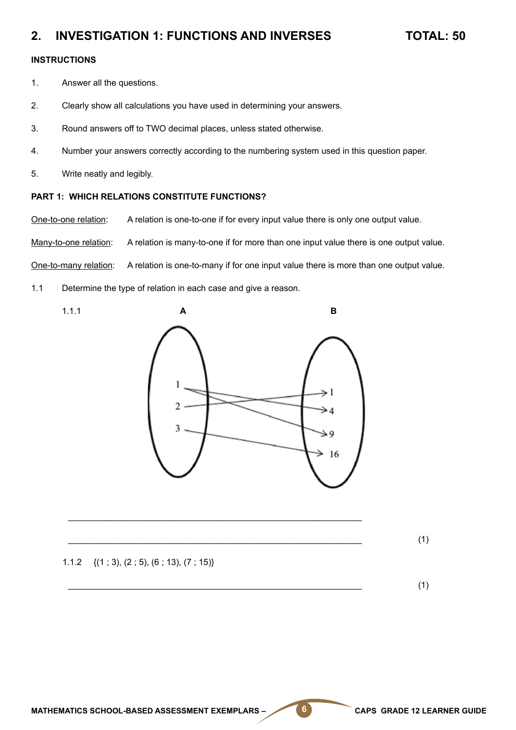#### **2. INVESTIGATION 1: FUNCTIONS AND INVERSES TOTAL: 50**

#### **INSTRUCTIONS**

- 1. Answer all the questions.
- 2. Clearly show all calculations you have used in determining your answers.
- 3. Round answers off to TWO decimal places, unless stated otherwise.
- 4. Number your answers correctly according to the numbering system used in this question paper.
- 5. Write neatly and legibly.

#### **PART 1: WHICH RELATIONS CONSTITUTE FUNCTIONS?**

One-to-one relation: A relation is one-to-one if for every input value there is only one output value.

Many-to-one relation: A relation is many-to-one if for more than one input value there is one output value.

One-to-many relation: A relation is one-to-many if for one input value there is more than one output value.

1.1 Determine the type of relation in each case and give a reason.



\_\_\_\_\_\_\_\_\_\_\_\_\_\_\_\_\_\_\_\_\_\_\_\_\_\_\_\_\_\_\_\_\_\_\_\_\_\_\_\_\_\_\_\_\_\_\_\_\_\_\_\_\_\_\_\_\_\_\_\_\_

\_\_\_\_\_\_\_\_\_\_\_\_\_\_\_\_\_\_\_\_\_\_\_\_\_\_\_\_\_\_\_\_\_\_\_\_\_\_\_\_\_\_\_\_\_\_\_\_\_\_\_\_\_\_\_\_\_\_\_\_\_ (1)

1.1.2 {(1 ; 3), (2 ; 5), (6 ; 13), (7 ; 15)}

 $\frac{1}{2}$  (1)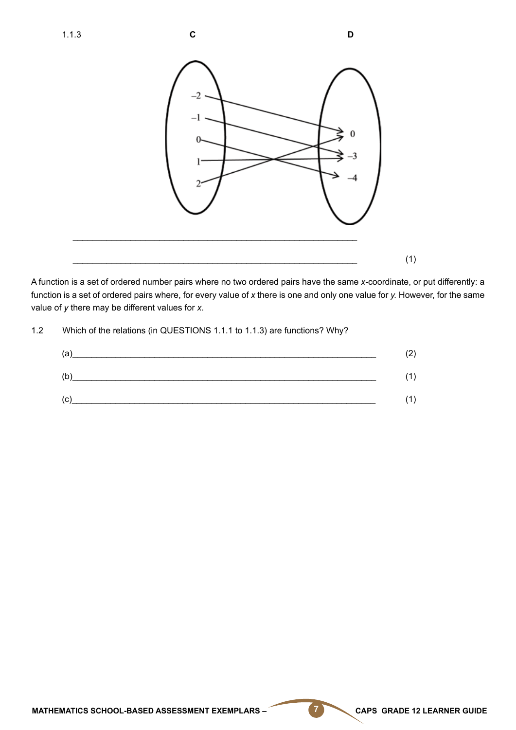

A function is a set of ordered number pairs where no two ordered pairs have the same *x-*coordinate, or put differently: a function is a set of ordered pairs where, for every value of *x* there is one and only one value for *y.* However, for the same value of *y* there may be different values for *x*.

1.2 Which of the relations (in QUESTIONS 1.1.1 to 1.1.3) are functions? Why?

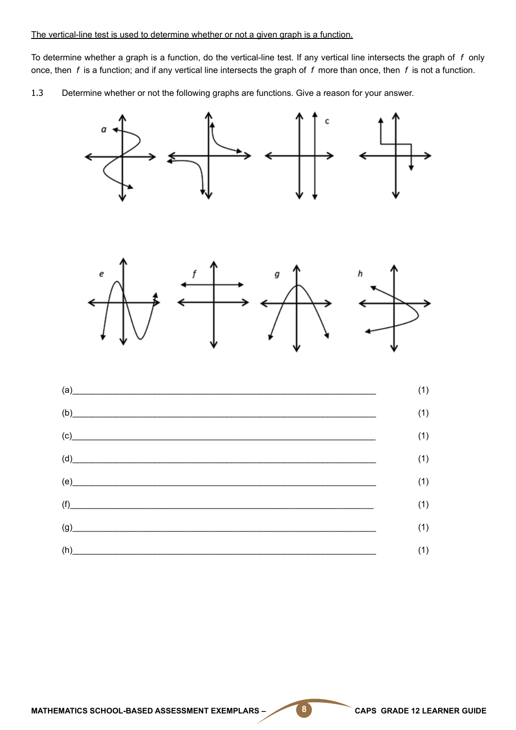To determine whether a graph is a function, do the vertical-line test. If any vertical line intersects the graph of *f* only once, then *f* is a function; and if any vertical line intersects the graph of *f* more than once, then *f* is not a function.

1.3 Determine whether or not the following graphs are functions. Give a reason for your answer.





| $\alpha$ and $\alpha$ and $\alpha$ and $\alpha$ and $\alpha$ and $\alpha$ and $\alpha$ and $\alpha$ and $\alpha$ and $\alpha$ and $\alpha$ and $\alpha$ and $\alpha$ and $\alpha$ and $\alpha$ and $\alpha$ and $\alpha$ and $\alpha$ and $\alpha$ and $\alpha$ and $\alpha$ and $\alpha$ and $\alpha$ and $\alpha$ and $\alpha$      | (1) |
|---------------------------------------------------------------------------------------------------------------------------------------------------------------------------------------------------------------------------------------------------------------------------------------------------------------------------------------|-----|
| (b)                                                                                                                                                                                                                                                                                                                                   | (1) |
| (c)                                                                                                                                                                                                                                                                                                                                   | (1) |
| $(d)$ and $\overline{d}$ and $\overline{d}$ and $\overline{d}$ and $\overline{d}$ and $\overline{d}$ and $\overline{d}$ and $\overline{d}$ and $\overline{d}$ and $\overline{d}$ and $\overline{d}$ and $\overline{d}$ and $\overline{d}$ and $\overline{d}$ and $\overline{d}$ and $\overline{d}$ and $\overline{d}$ and $\overline$ | (1) |
| $(e)$ and $(e)$ and $(e)$ and $(e)$ and $(e)$ and $(e)$ and $(e)$ and $(e)$ and $(e)$ and $(e)$ and $(e)$ and $(e)$ and $(e)$ and $(e)$ and $(e)$ and $(e)$ and $(e)$ and $(e)$ and $(e)$ and $(e)$ and $(e)$ and $(e)$ and $(e)$ and $(e)$ and $(e)$                                                                                 | (1) |
| (f)                                                                                                                                                                                                                                                                                                                                   | (1) |
| (g)                                                                                                                                                                                                                                                                                                                                   | (1) |
| $(h)$ and $(h)$ and $(h)$ and $(h)$ and $(h)$ and $(h)$ and $(h)$ and $(h)$ and $(h)$ and $(h)$ and $(h)$ and $(h)$ and $(h)$ and $(h)$ and $(h)$ and $(h)$ and $(h)$ and $(h)$ and $(h)$ and $(h)$ and $(h)$ and $(h)$ and $(h)$ and $(h)$ and $(h)$                                                                                 | (1) |
|                                                                                                                                                                                                                                                                                                                                       |     |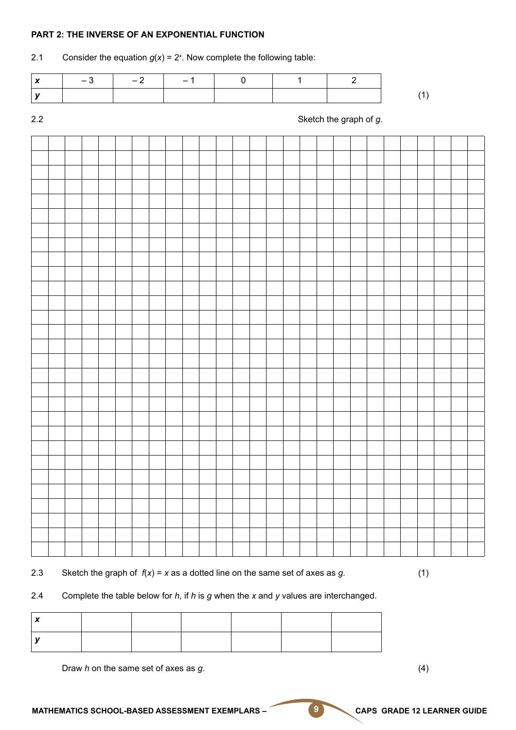#### **PART 2: THE INVERSE OF AN EXPONENTIAL FUNCTION**

#### 2.1 Consider the equation  $g(x) = 2^x$ . Now complete the following table:

| $-3$ $-$ | $-2$ $-1$ $-1$ |  |  |  |
|----------|----------------|--|--|--|
|          |                |  |  |  |

#### 2.2 Sketch the graph of *g*.

2.3 Sketch the graph of  $f(x) = x$  as a dotted line on the same set of axes as  $g$ . (1)

#### 2.4 Complete the table below for *h*, if *h* is *g* when the *x* and *y* values are interchanged.

| $\mathbf{r}$ |  |  |  |
|--------------|--|--|--|
|              |  |  |  |

Draw *h* on the same set of axes as *g*. (4)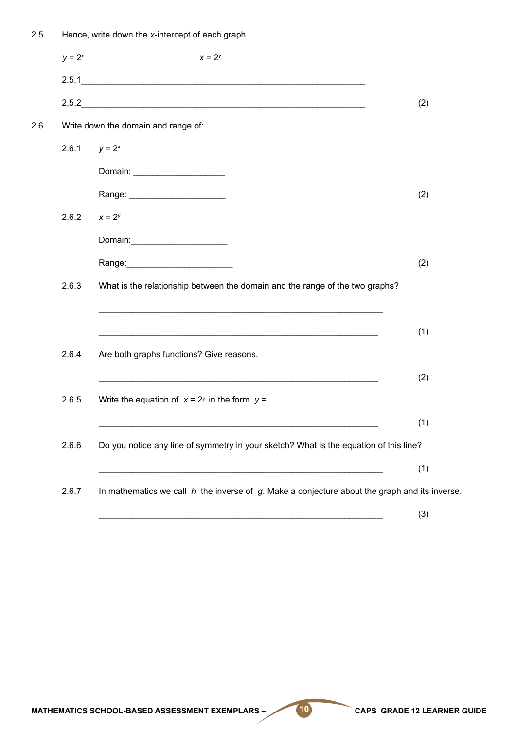| 2.5 |                 | Hence, write down the x-intercept of each graph.                                                                                                                                                                               |     |
|-----|-----------------|--------------------------------------------------------------------------------------------------------------------------------------------------------------------------------------------------------------------------------|-----|
|     | $y = 2^x$       | $x = 2^y$                                                                                                                                                                                                                      |     |
|     |                 | 2.5.1                                                                                                                                                                                                                          |     |
|     |                 | 2.5.2                                                                                                                                                                                                                          | (2) |
| 2.6 |                 | Write down the domain and range of:                                                                                                                                                                                            |     |
|     | 2.6.1 $y = 2^x$ |                                                                                                                                                                                                                                |     |
|     |                 | Domain: ______________________                                                                                                                                                                                                 |     |
|     |                 | Range: ________________________                                                                                                                                                                                                | (2) |
|     | 2.6.2           | $x = 2^y$                                                                                                                                                                                                                      |     |
|     |                 | Domain:________________________                                                                                                                                                                                                |     |
|     |                 | Range: Name and Separate and Separate and Separate and Separate and Separate and Separate and Separate and Separate and Separate and Separate and Separate and Separate and Separate and Separate and Separate and Separate an | (2) |
|     | 2.6.3           | What is the relationship between the domain and the range of the two graphs?                                                                                                                                                   |     |
|     |                 |                                                                                                                                                                                                                                |     |
|     |                 | <u> 1989 - Johann Harry Barn, mars ar yn y brenin y brenin y brenin y brenin y brenin y brenin y brenin y brenin</u>                                                                                                           | (1) |
|     | 2.6.4           | Are both graphs functions? Give reasons.                                                                                                                                                                                       |     |
|     |                 |                                                                                                                                                                                                                                | (2) |
|     | 2.6.5           | Write the equation of $x = 2^y$ in the form $y =$                                                                                                                                                                              |     |
|     |                 |                                                                                                                                                                                                                                | (1) |
|     | 2.6.6           | Do you notice any line of symmetry in your sketch? What is the equation of this line?                                                                                                                                          |     |
|     |                 |                                                                                                                                                                                                                                | (1) |
|     | 2.6.7           | In mathematics we call $h$ the inverse of $g$ . Make a conjecture about the graph and its inverse.                                                                                                                             |     |
|     |                 |                                                                                                                                                                                                                                | (3) |

MATHEMATICS SCHOOL-BASED ASSESSMENT EXEMPLARS – **10** CAPS GRADE 12 LEARNER GUIDE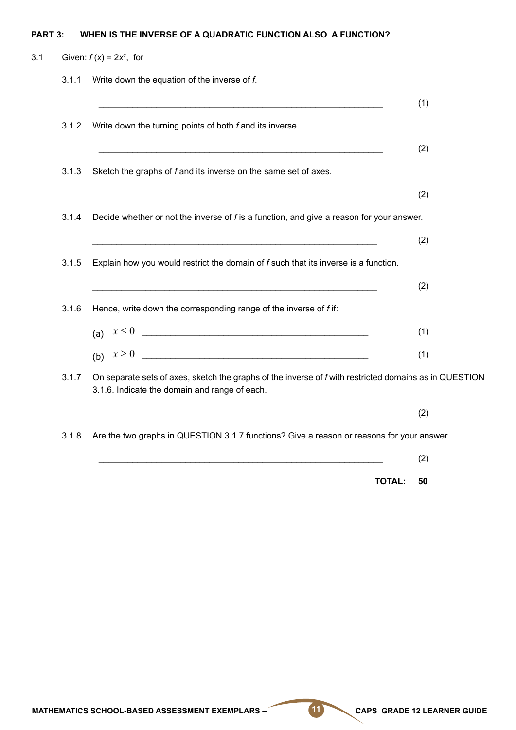#### **PART 3: WHEN IS THE INVERSE OF A QUADRATIC FUNCTION ALSO A FUNCTION?**

|       | Given: $f(x) = 2x^2$ , for                                                                                                                              |     |
|-------|---------------------------------------------------------------------------------------------------------------------------------------------------------|-----|
| 3.1.1 | Write down the equation of the inverse of f.                                                                                                            |     |
|       |                                                                                                                                                         | (1) |
| 3.1.2 | Write down the turning points of both f and its inverse.                                                                                                |     |
|       | <u> 1989 - Johann Stoff, deutscher Stoff, der Stoff, der Stoff, der Stoff, der Stoff, der Stoff, der Stoff, der S</u>                                   | (2) |
| 3.1.3 | Sketch the graphs of f and its inverse on the same set of axes.                                                                                         |     |
|       |                                                                                                                                                         | (2) |
| 3.1.4 | Decide whether or not the inverse of f is a function, and give a reason for your answer.                                                                |     |
|       |                                                                                                                                                         | (2) |
| 3.1.5 | Explain how you would restrict the domain of f such that its inverse is a function.                                                                     |     |
|       | <u> 1989 - Johann Barbara, marka a shekara tsa na shekara tsa 1989 - An tsa 1989 - An tsa 1989 - An tsa 1989 - A</u>                                    | (2) |
| 3.1.6 | Hence, write down the corresponding range of the inverse of f if:                                                                                       |     |
|       | (a) $x \le 0$                                                                                                                                           | (1) |
|       | (b) $x \ge 0$                                                                                                                                           | (1) |
| 3.1.7 | On separate sets of axes, sketch the graphs of the inverse of f with restricted domains as in QUESTION<br>3.1.6. Indicate the domain and range of each. |     |
|       |                                                                                                                                                         | (2) |
| 3.1.8 | Are the two graphs in QUESTION 3.1.7 functions? Give a reason or reasons for your answer.                                                               |     |
|       |                                                                                                                                                         | (2) |

**TOTAL: 50**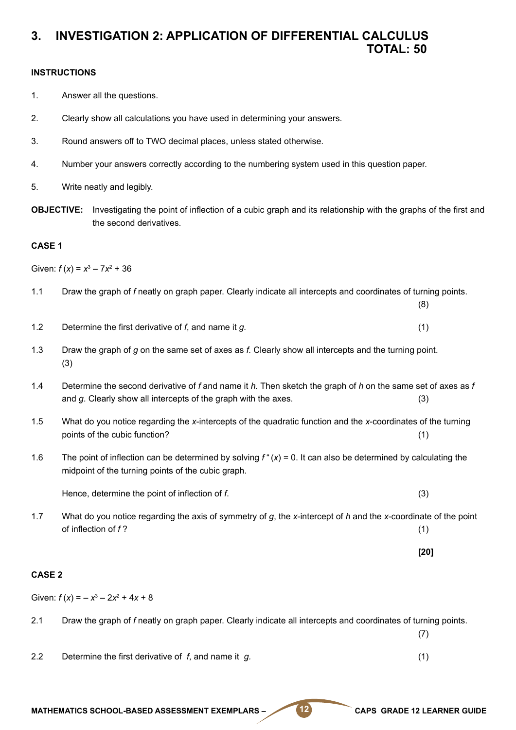#### **3. INVESTIGATION 2: APPLICATION OF DIFFERENTIAL CALCULUS TOTAL: 50**

#### **INSTRUCTIONS**

- 1. Answer all the questions.
- 2. Clearly show all calculations you have used in determining your answers.
- 3. Round answers off to TWO decimal places, unless stated otherwise.
- 4. Number your answers correctly according to the numbering system used in this question paper.
- 5. Write neatly and legibly.
- **OBJECTIVE:** Investigating the point of inflection of a cubic graph and its relationship with the graphs of the first and the second derivatives.

#### **CASE 1**

Given:  $f(x) = x^3 - 7x^2 + 36$ 

- 1.1 Draw the graph of *f* neatly on graph paper. Clearly indicate all intercepts and coordinates of turning points.
- 1.2 Determine the first derivative of *f*, and name it *g.* (1)
- 1.3 Draw the graph of *g* on the same set of axes as *f.* Clearly show all intercepts and the turning point. (3)
- 1.4 Determine the second derivative of *f* and name it *h.* Then sketch the graph of *h* on the same set of axes as *f*  and *g*. Clearly show all intercepts of the graph with the axes. (3)
- 1.5 What do you notice regarding the *x*-intercepts of the quadratic function and the *x*-coordinates of the turning points of the cubic function? (1)
- 1.6 The point of inflection can be determined by solving *f* "(*x*) = 0. It can also be determined by calculating the midpoint of the turning points of the cubic graph.

Hence, determine the point of inflection of *f*. (3)

- 1.7 What do you notice regarding the axis of symmetry of *g*, the *x*-intercept of *h* and the *x*-coordinate of the point of inflection of *f* ? (1)
- **[20]**

(8)

#### **CASE 2**

Given:  $f(x) = -x^3 - 2x^2 + 4x + 8$ 

- 2.1 Draw the graph of *f* neatly on graph paper. Clearly indicate all intercepts and coordinates of turning points.
- 2.2 Determine the first derivative of *f*, and name it *g.* (1)

MATHEMATICS SCHOOL-BASED ASSESSMENT EXEMPLARS – **12** CAPS GRADE 12 LEARNER GUIDE

(7)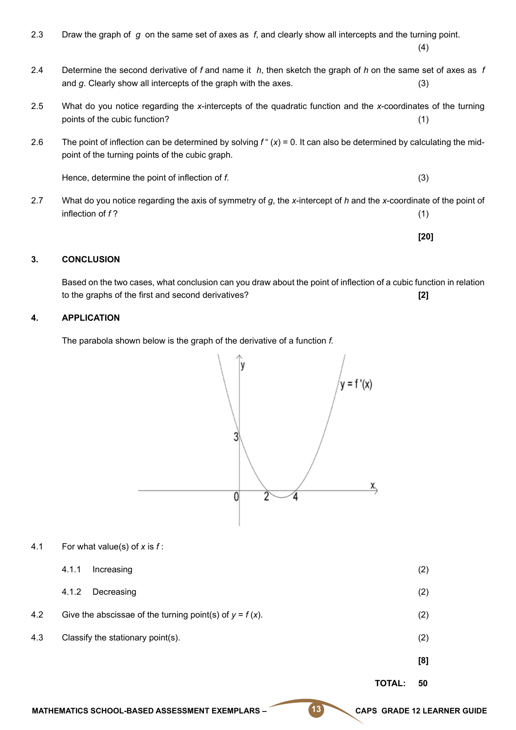| 2.3 | Draw the graph of $g$ on the same set of axes as $f$ , and clearly show all intercepts and the turning point.                                                                    | (4)  |
|-----|----------------------------------------------------------------------------------------------------------------------------------------------------------------------------------|------|
| 2.4 | Determine the second derivative of f and name it $h$ , then sketch the graph of h on the same set of axes as f<br>and g. Clearly show all intercepts of the graph with the axes. | (3)  |
| 2.5 | What do you notice regarding the x-intercepts of the quadratic function and the x-coordinates of the turning<br>points of the cubic function?                                    | (1)  |
| 2.6 | The point of inflection can be determined by solving $f''(x) = 0$ . It can also be determined by calculating the mid-<br>point of the turning points of the cubic graph.         |      |
|     | Hence, determine the point of inflection of f.                                                                                                                                   | (3)  |
| 2.7 | What do you notice regarding the axis of symmetry of $g$ , the x-intercept of h and the x-coordinate of the point of<br>inflection of f?                                         | (1)  |
|     |                                                                                                                                                                                  | [20] |

#### **3. CONCLUSION**

Based on the two cases, what conclusion can you draw about the point of inflection of a cubic function in relation to the graphs of the first and second derivatives? **[2]**

#### **4. APPLICATION**

The parabola shown below is the graph of the derivative of a function *f.*



4.1 For what value(s) of *x* is *f* :

|     |                                                            | <b>TOTAL:</b> | 50  |
|-----|------------------------------------------------------------|---------------|-----|
|     |                                                            |               | [8] |
| 4.3 | Classify the stationary point(s).                          |               | (2) |
| 4.2 | Give the abscissae of the turning point(s) of $y = f(x)$ . |               | (2) |
|     | 4.1.2<br>Decreasing                                        |               | (2) |
|     | 4.1.1<br>Increasing                                        |               | (2) |

MATHEMATICS SCHOOL-BASED ASSESSMENT EXEMPLARS – **13** CAPS GRADE 12 LEARNER GUIDE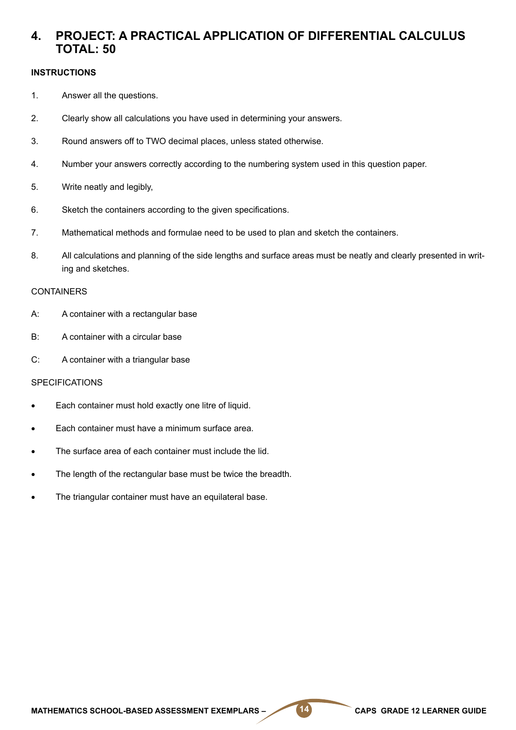#### **4. PROJECT: A PRACTICAL APPLICATION OF DIFFERENTIAL CALCULUS TOTAL: 50**

#### **INSTRUCTIONS**

- 1. Answer all the questions.
- 2. Clearly show all calculations you have used in determining your answers.
- 3. Round answers off to TWO decimal places, unless stated otherwise.
- 4. Number your answers correctly according to the numbering system used in this question paper.
- 5. Write neatly and legibly,
- 6. Sketch the containers according to the given specifications.
- 7. Mathematical methods and formulae need to be used to plan and sketch the containers.
- 8. All calculations and planning of the side lengths and surface areas must be neatly and clearly presented in writing and sketches.

#### **CONTAINERS**

- A: A container with a rectangular base
- B: A container with a circular base
- C: A container with a triangular base

#### **SPECIFICATIONS**

- Each container must hold exactly one litre of liquid.
- Each container must have a minimum surface area.
- The surface area of each container must include the lid.
- The length of the rectangular base must be twice the breadth.
- The triangular container must have an equilateral base.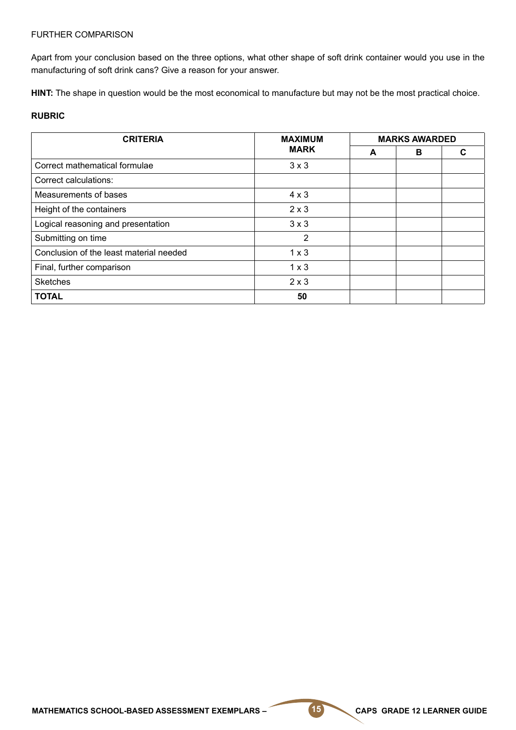#### FURTHER COMPARISON

Apart from your conclusion based on the three options, what other shape of soft drink container would you use in the manufacturing of soft drink cans? Give a reason for your answer.

**HINT:** The shape in question would be the most economical to manufacture but may not be the most practical choice.

#### **RUBRIC**

| <b>CRITERIA</b>                         | <b>MAXIMUM</b><br><b>MARK</b> | <b>MARKS AWARDED</b> |   |   |
|-----------------------------------------|-------------------------------|----------------------|---|---|
|                                         |                               | A                    | в | С |
| Correct mathematical formulae           | $3 \times 3$                  |                      |   |   |
| Correct calculations:                   |                               |                      |   |   |
| Measurements of bases                   | $4 \times 3$                  |                      |   |   |
| Height of the containers                | $2 \times 3$                  |                      |   |   |
| Logical reasoning and presentation      | $3 \times 3$                  |                      |   |   |
| Submitting on time                      | 2                             |                      |   |   |
| Conclusion of the least material needed | $1 \times 3$                  |                      |   |   |
| Final, further comparison               | $1 \times 3$                  |                      |   |   |
| <b>Sketches</b>                         | $2 \times 3$                  |                      |   |   |
| <b>TOTAL</b>                            | 50                            |                      |   |   |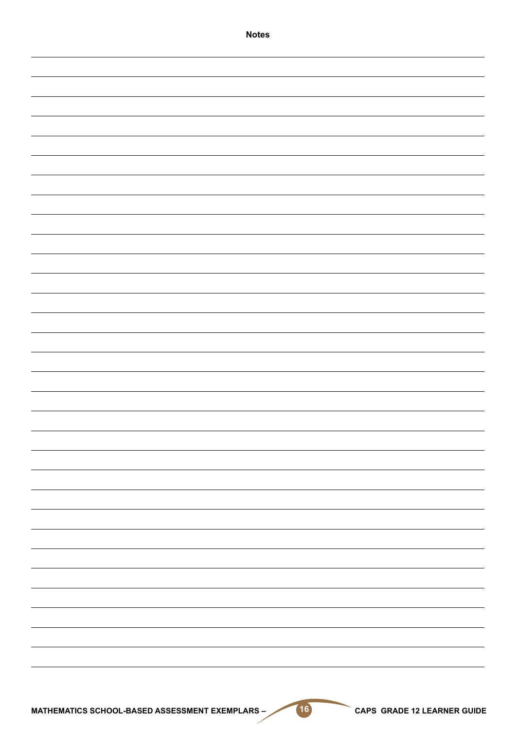| <b>Notes</b> |
|--------------|
|              |
|              |
|              |
|              |
|              |
|              |
|              |
|              |
|              |
|              |
|              |
|              |
|              |
|              |
|              |
|              |
|              |
|              |
|              |
|              |
|              |
|              |
|              |
|              |
|              |
|              |
|              |
|              |
|              |
|              |
|              |
|              |
|              |
|              |
|              |
|              |
|              |
|              |
|              |
|              |
|              |
|              |
|              |
|              |
|              |
|              |
|              |
|              |
|              |
|              |
|              |
|              |
|              |
|              |
|              |
|              |
|              |
|              |
|              |
|              |
|              |
|              |
|              |